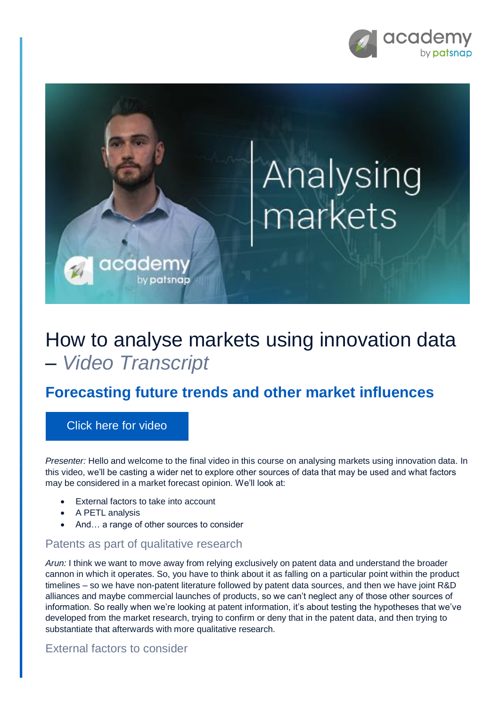

# Analysing markets

## How to analyse markets using innovation data – *Video Transcript*

### **Forecasting future trends and other market influences**

#### [Click here for video](https://academy.patsnap.com/courses/5d2c741efd3f8874f6cf0bf9/units/5d2c7446fd3f8874f6cf0bfa#module-3)

*Presenter:* Hello and welcome to the final video in this course on analysing markets using innovation data. In this video, we'll be casting a wider net to explore other sources of data that may be used and what factors may be considered in a market forecast opinion. We'll look at:

- External factors to take into account
- A PETL analysis
- And... a range of other sources to consider

cadem

by patsnap

#### Patents as part of qualitative research

*Arun:* I think we want to move away from relying exclusively on patent data and understand the broader cannon in which it operates. So, you have to think about it as falling on a particular point within the product timelines – so we have non-patent literature followed by patent data sources, and then we have joint R&D alliances and maybe commercial launches of products, so we can't neglect any of those other sources of information. So really when we're looking at patent information, it's about testing the hypotheses that we've developed from the market research, trying to confirm or deny that in the patent data, and then trying to substantiate that afterwards with more qualitative research.

#### External factors to consider